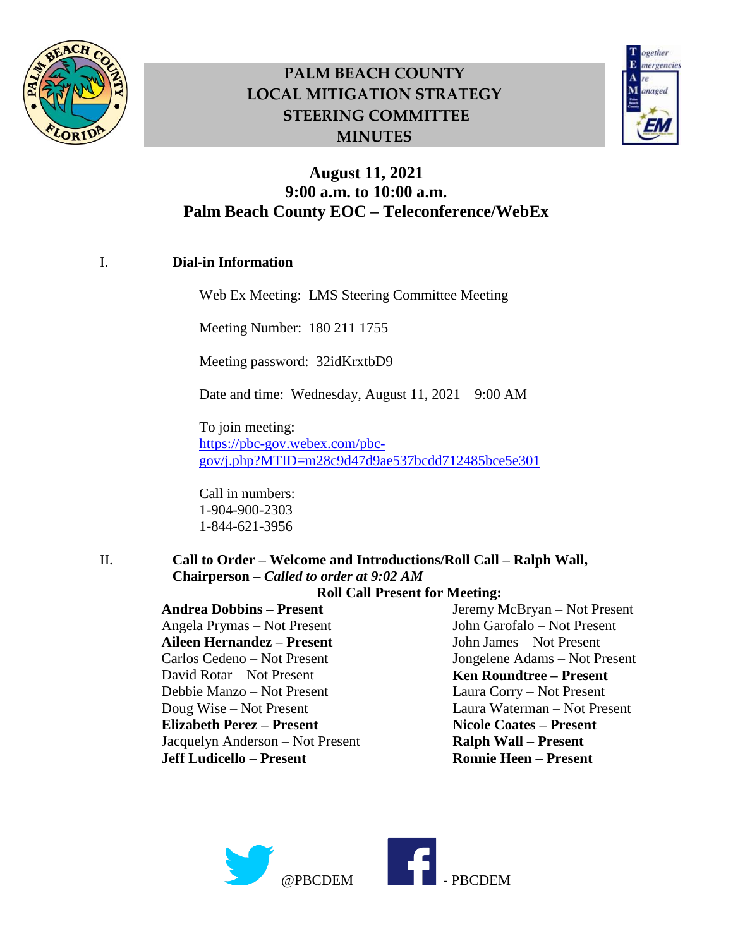



### **August 11, 2021 9:00 a.m. to 10:00 a.m. Palm Beach County EOC – Teleconference/WebEx**

### I. **Dial-in Information**

Web Ex Meeting: LMS Steering Committee Meeting

Meeting Number: 180 211 1755

Meeting password: 32idKrxtbD9

Date and time: Wednesday, August 11, 2021 9:00 AM

To join meeting: [https://pbc-gov.webex.com/pbc](https://pbc-gov.webex.com/pbc-gov/j.php?MTID=m28c9d47d9ae537bcdd712485bce5e301)[gov/j.php?MTID=m28c9d47d9ae537bcdd712485bce5e301](https://pbc-gov.webex.com/pbc-gov/j.php?MTID=m28c9d47d9ae537bcdd712485bce5e301)

Call in numbers: 1-904-900-2303 1-844-621-3956

II. **Call to Order – Welcome and Introductions/Roll Call – Ralph Wall, Chairperson –** *Called to order at 9:02 AM*

#### **Roll Call Present for Meeting:**

**Andrea Dobbins – Present** Angela Prymas – Not Present **Aileen Hernandez – Present**  Carlos Cedeno – Not Present David Rotar – Not Present Debbie Manzo – Not Present Doug Wise – Not Present **Elizabeth Perez – Present**  Jacquelyn Anderson – Not Present **Jeff Ludicello – Present**

Jeremy McBryan – Not Present John Garofalo – Not Present John James – Not Present Jongelene Adams – Not Present **Ken Roundtree – Present** Laura Corry – Not Present Laura Waterman – Not Present **Nicole Coates – Present Ralph Wall – Present Ronnie Heen – Present** 

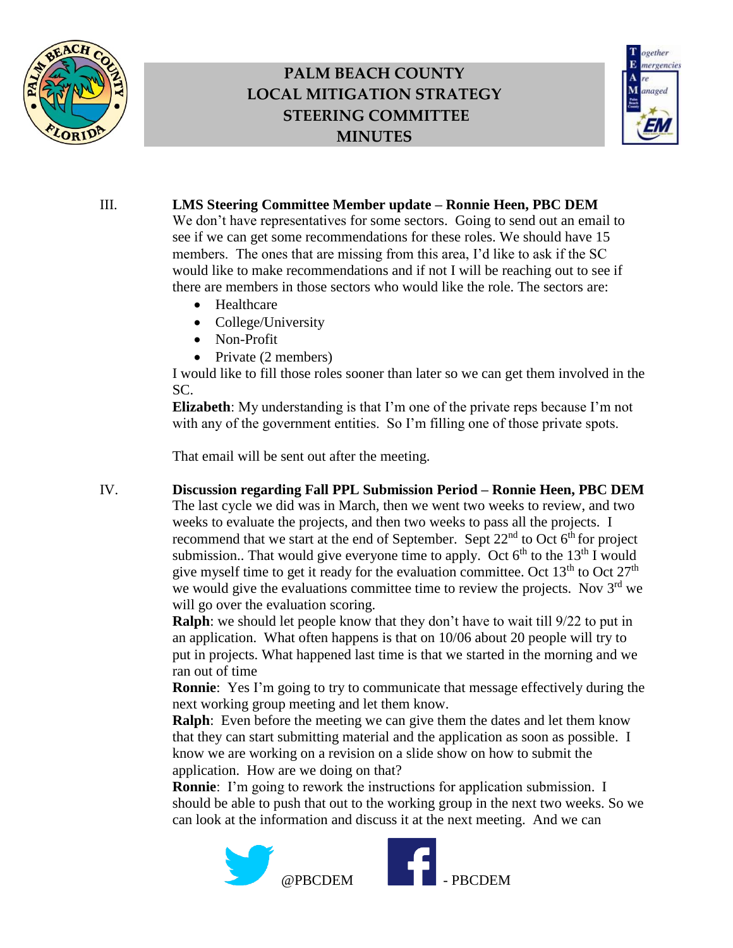



### III. **LMS Steering Committee Member update – Ronnie Heen, PBC DEM**

We don't have representatives for some sectors. Going to send out an email to see if we can get some recommendations for these roles. We should have 15 members. The ones that are missing from this area, I'd like to ask if the SC would like to make recommendations and if not I will be reaching out to see if there are members in those sectors who would like the role. The sectors are:

- Healthcare
- College/University
- Non-Profit
- Private  $(2 \text{ members})$

I would like to fill those roles sooner than later so we can get them involved in the SC.

**Elizabeth**: My understanding is that I'm one of the private reps because I'm not with any of the government entities. So I'm filling one of those private spots.

That email will be sent out after the meeting.

IV. **Discussion regarding Fall PPL Submission Period – Ronnie Heen, PBC DEM** The last cycle we did was in March, then we went two weeks to review, and two weeks to evaluate the projects, and then two weeks to pass all the projects. I recommend that we start at the end of September. Sept  $22<sup>nd</sup>$  to Oct  $6<sup>th</sup>$  for project submission.. That would give everyone time to apply. Oct  $6<sup>th</sup>$  to the 13<sup>th</sup> I would give myself time to get it ready for the evaluation committee. Oct  $13<sup>th</sup>$  to Oct  $27<sup>th</sup>$ we would give the evaluations committee time to review the projects. Nov 3<sup>rd</sup> we will go over the evaluation scoring.

**Ralph**: we should let people know that they don't have to wait till 9/22 to put in an application. What often happens is that on 10/06 about 20 people will try to put in projects. What happened last time is that we started in the morning and we ran out of time

**Ronnie**: Yes I'm going to try to communicate that message effectively during the next working group meeting and let them know.

**Ralph**: Even before the meeting we can give them the dates and let them know that they can start submitting material and the application as soon as possible. I know we are working on a revision on a slide show on how to submit the application. How are we doing on that?

**Ronnie**: I'm going to rework the instructions for application submission. I should be able to push that out to the working group in the next two weeks. So we can look at the information and discuss it at the next meeting. And we can

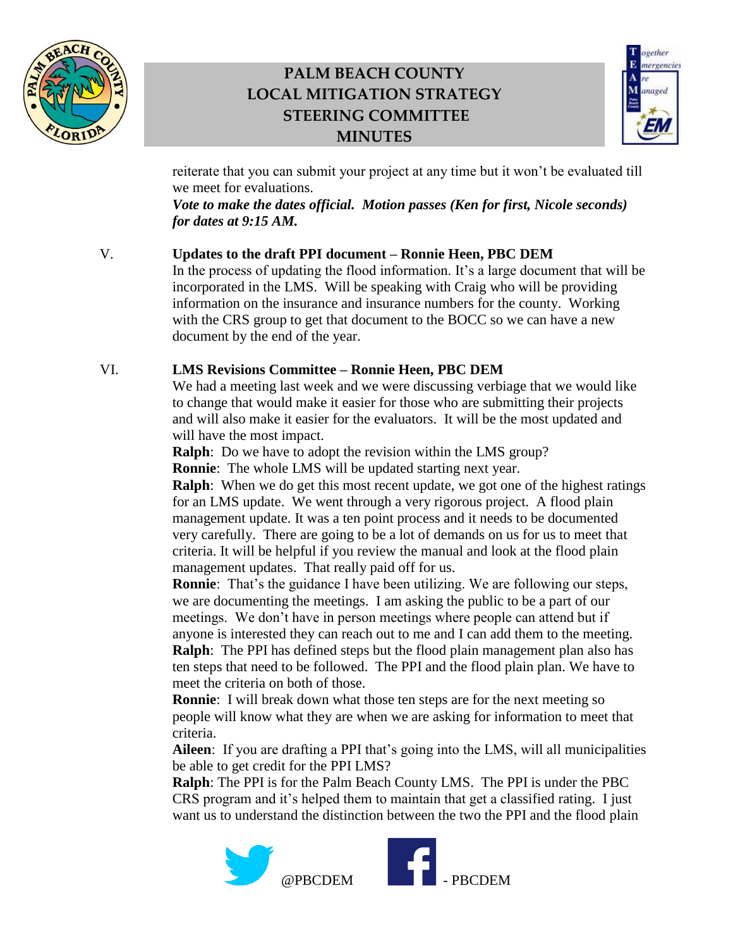



reiterate that you can submit your project at any time but it won't be evaluated till we meet for evaluations.

*Vote to make the dates official. Motion passes (Ken for first, Nicole seconds) for dates at 9:15 AM.*

### V. **Updates to the draft PPI document – Ronnie Heen, PBC DEM**

In the process of updating the flood information. It's a large document that will be incorporated in the LMS. Will be speaking with Craig who will be providing information on the insurance and insurance numbers for the county. Working with the CRS group to get that document to the BOCC so we can have a new document by the end of the year.

#### VI. **LMS Revisions Committee – Ronnie Heen, PBC DEM**

We had a meeting last week and we were discussing verbiage that we would like to change that would make it easier for those who are submitting their projects and will also make it easier for the evaluators. It will be the most updated and will have the most impact.

**Ralph**: Do we have to adopt the revision within the LMS group? **Ronnie**: The whole LMS will be updated starting next year.

**Ralph**: When we do get this most recent update, we got one of the highest ratings for an LMS update. We went through a very rigorous project. A flood plain management update. It was a ten point process and it needs to be documented very carefully. There are going to be a lot of demands on us for us to meet that criteria. It will be helpful if you review the manual and look at the flood plain management updates. That really paid off for us.

**Ronnie**: That's the guidance I have been utilizing. We are following our steps, we are documenting the meetings. I am asking the public to be a part of our meetings. We don't have in person meetings where people can attend but if anyone is interested they can reach out to me and I can add them to the meeting. **Ralph**: The PPI has defined steps but the flood plain management plan also has ten steps that need to be followed. The PPI and the flood plain plan. We have to meet the criteria on both of those.

**Ronnie**: I will break down what those ten steps are for the next meeting so people will know what they are when we are asking for information to meet that criteria.

**Aileen**: If you are drafting a PPI that's going into the LMS, will all municipalities be able to get credit for the PPI LMS?

**Ralph**: The PPI is for the Palm Beach County LMS. The PPI is under the PBC CRS program and it's helped them to maintain that get a classified rating. I just want us to understand the distinction between the two the PPI and the flood plain